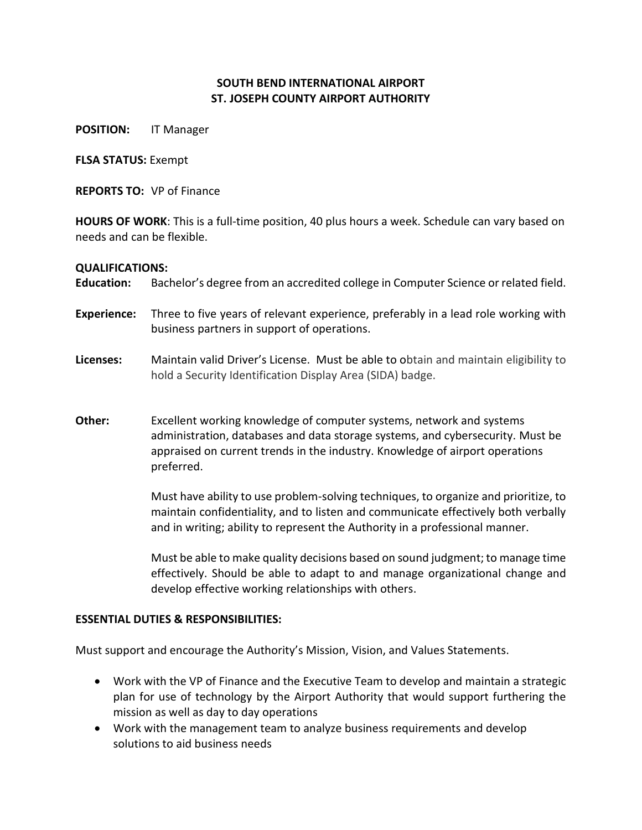## **SOUTH BEND INTERNATIONAL AIRPORT ST. JOSEPH COUNTY AIRPORT AUTHORITY**

**POSITION:** IT Manager

**FLSA STATUS:** Exempt

**REPORTS TO:** VP of Finance

**HOURS OF WORK**: This is a full-time position, 40 plus hours a week. Schedule can vary based on needs and can be flexible.

## **QUALIFICATIONS:**

**Education:** Bachelor's degree from an accredited college in Computer Science or related field.

- **Experience:** Three to five years of relevant experience, preferably in a lead role working with business partners in support of operations.
- **Licenses:** Maintain valid Driver's License. Must be able to obtain and maintain eligibility to hold a Security Identification Display Area (SIDA) badge.
- **Other:** Excellent working knowledge of computer systems, network and systems administration, databases and data storage systems, and cybersecurity. Must be appraised on current trends in the industry. Knowledge of airport operations preferred.

Must have ability to use problem-solving techniques, to organize and prioritize, to maintain confidentiality, and to listen and communicate effectively both verbally and in writing; ability to represent the Authority in a professional manner.

Must be able to make quality decisions based on sound judgment; to manage time effectively. Should be able to adapt to and manage organizational change and develop effective working relationships with others.

## **ESSENTIAL DUTIES & RESPONSIBILITIES:**

Must support and encourage the Authority's Mission, Vision, and Values Statements.

- Work with the VP of Finance and the Executive Team to develop and maintain a strategic plan for use of technology by the Airport Authority that would support furthering the mission as well as day to day operations
- Work with the management team to analyze business requirements and develop solutions to aid business needs